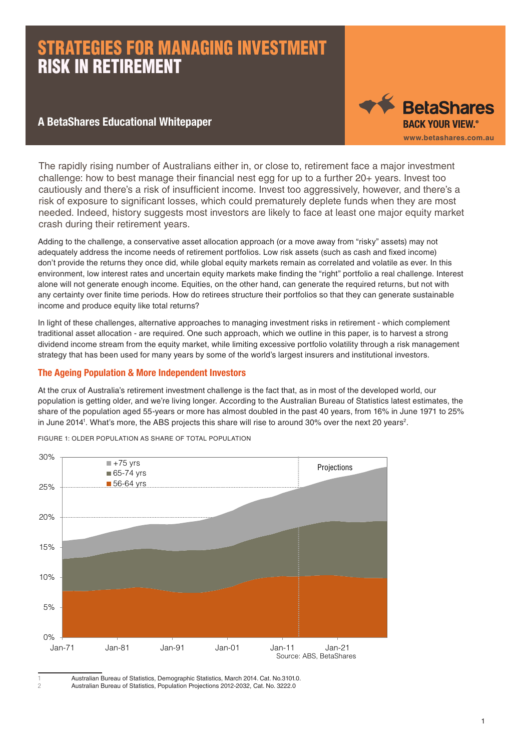#### A BetaShares Educational Whitepaper



The rapidly rising number of Australians either in, or close to, retirement face a major investment challenge: how to best manage their financial nest egg for up to a further 20+ years. Invest too cautiously and there's a risk of insufficient income. Invest too aggressively, however, and there's a risk of exposure to significant losses, which could prematurely deplete funds when they are most needed. Indeed, history suggests most investors are likely to face at least one major equity market crash during their retirement years.

Adding to the challenge, a conservative asset allocation approach (or a move away from "risky" assets) may not adequately address the income needs of retirement portfolios. Low risk assets (such as cash and fixed income) don't provide the returns they once did, while global equity markets remain as correlated and volatile as ever. In this environment, low interest rates and uncertain equity markets make finding the "right" portfolio a real challenge. Interest alone will not generate enough income. Equities, on the other hand, can generate the required returns, but not with any certainty over finite time periods. How do retirees structure their portfolios so that they can generate sustainable income and produce equity like total returns?

In light of these challenges, alternative approaches to managing investment risks in retirement - which complement traditional asset allocation - are required. One such approach, which we outline in this paper, is to harvest a strong dividend income stream from the equity market, while limiting excessive portfolio volatility through a risk management strategy that has been used for many years by some of the world's largest insurers and institutional investors.

#### The Ageing Population & More Independent Investors

At the crux of Australia's retirement investment challenge is the fact that, as in most of the developed world, our population is getting older, and we're living longer. According to the Australian Bureau of Statistics latest estimates, the share of the population aged 55-years or more has almost doubled in the past 40 years, from 16% in June 1971 to 25% in June 2014<sup>1</sup>. What's more, the ABS projects this share will rise to around 30% over the next 20 years<sup>2</sup>.



FIGURE 1: OLDER POPULATION AS SHARE OF TOTAL POPULATION

Australian Bureau of Statistics, Demographic Statistics, March 2014. Cat. No.3101.0.

<sup>2</sup> Australian Bureau of Statistics, Population Projections 2012-2032, Cat. No. 3222.0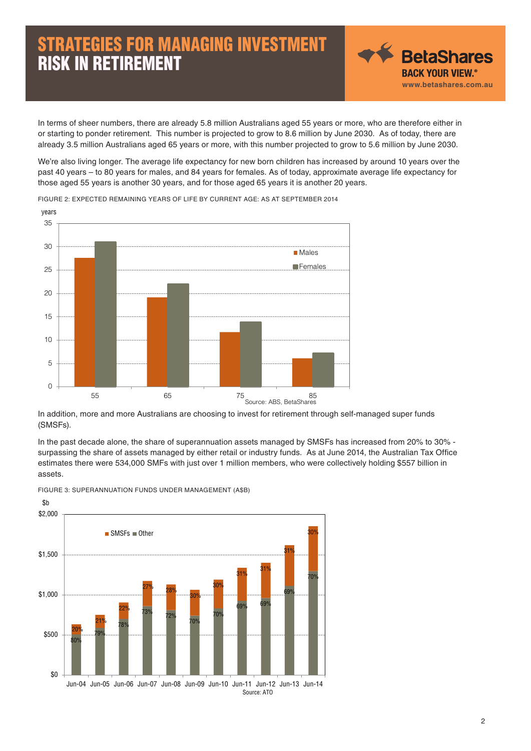

In terms of sheer numbers, there are already 5.8 million Australians aged 55 years or more, who are therefore either in or starting to ponder retirement. This number is projected to grow to 8.6 million by June 2030. As of today, there are already 3.5 million Australians aged 65 years or more, with this number projected to grow to 5.6 million by June 2030.

We're also living longer. The average life expectancy for new born children has increased by around 10 years over the past 40 years – to 80 years for males, and 84 years for females. As of today, approximate average life expectancy for those aged 55 years is another 30 years, and for those aged 65 years it is another 20 years.



FIGURE 2: EXPECTED REMAINING YEARS OF LIFE BY CURRENT AGE: AS AT SEPTEMBER 2014

In addition, more and more Australians are choosing to invest for retirement through self-managed super funds (SMSFs).

In the past decade alone, the share of superannuation assets managed by SMSFs has increased from 20% to 30% surpassing the share of assets managed by either retail or industry funds. As at June 2014, the Australian Tax Office estimates there were 534,000 SMFs with just over 1 million members, who were collectively holding \$557 billion in assets.



FIGURE 3: SUPERANNUATION FUNDS UNDER MANAGEMENT (A\$B)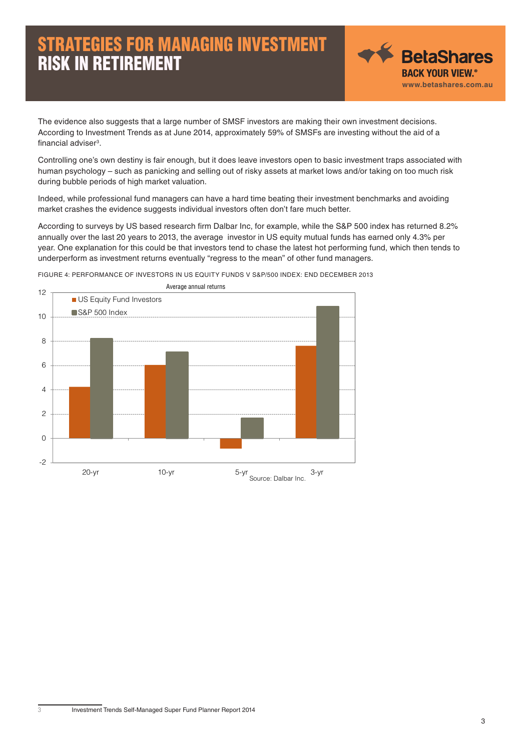

The evidence also suggests that a large number of SMSF investors are making their own investment decisions. According to Investment Trends as at June 2014, approximately 59% of SMSFs are investing without the aid of a financial adviser<sup>3</sup>.

Controlling one's own destiny is fair enough, but it does leave investors open to basic investment traps associated with human psychology – such as panicking and selling out of risky assets at market lows and/or taking on too much risk during bubble periods of high market valuation.

Indeed, while professional fund managers can have a hard time beating their investment benchmarks and avoiding market crashes the evidence suggests individual investors often don't fare much better.

According to surveys by US based research firm Dalbar Inc, for example, while the S&P 500 index has returned 8.2% annually over the last 20 years to 2013, the average investor in US equity mutual funds has earned only 4.3% per year. One explanation for this could be that investors tend to chase the latest hot performing fund, which then tends to underperform as investment returns eventually "regress to the mean" of other fund managers.



FIGURE 4: PERFORMANCE OF INVESTORS IN US EQUITY FUNDS V S&P/500 INDEX: END DECEMBER 2013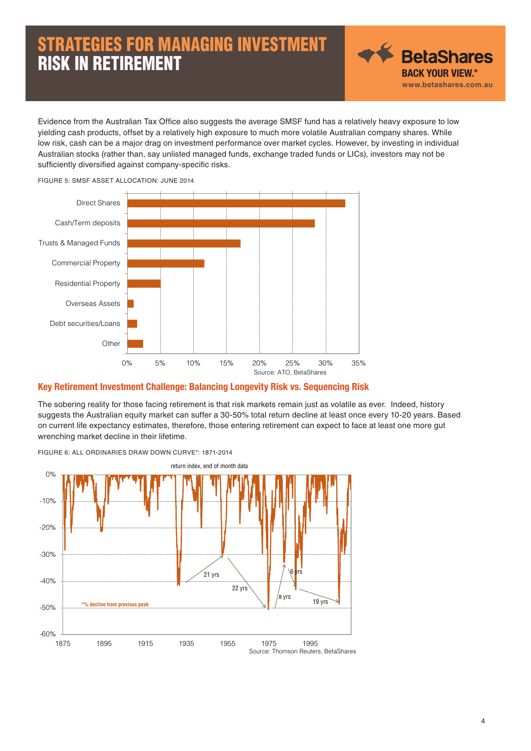

Evidence from the Australian Tax Office also suggests the average SMSF fund has a relatively heavy exposure to low yielding cash products, offset by a relatively high exposure to much more volatile Australian company shares. While low risk, cash can be a major drag on investment performance over market cycles. However, by investing in individual Australian stocks (rather than, say unlisted managed funds, exchange traded funds or LICs), investors may not be sufficiently diversified against company-specific risks.



#### Key Retirement Investment Challenge: Balancing Longevity Risk vs. Sequencing Risk

The sobering reality for those facing retirement is that risk markets remain just as volatile as ever. Indeed, history suggests the Australian equity market can suffer a 30-50% total return decline at least once every 10-20 years. Based on current life expectancy estimates, therefore, those entering retirement can expect to face at least one more gut wrenching market decline in their lifetime.



FIGURE 6: ALL ORDINARIES DRAW DOWN CURVE\*: 1871-2014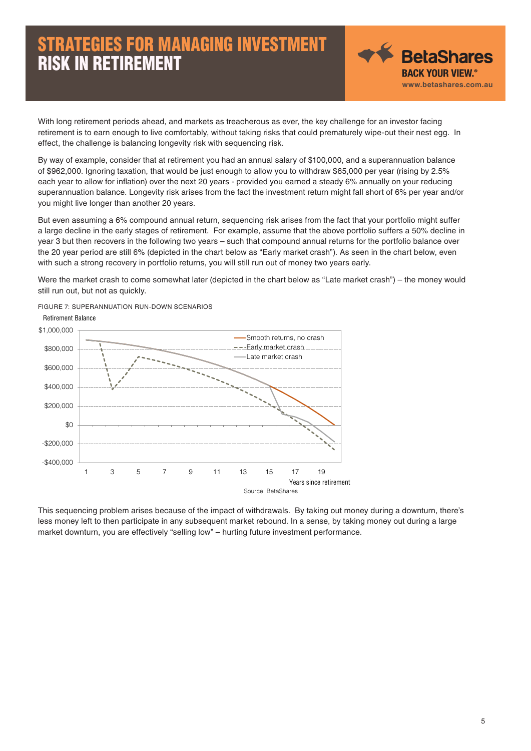

With long retirement periods ahead, and markets as treacherous as ever, the key challenge for an investor facing retirement is to earn enough to live comfortably, without taking risks that could prematurely wipe-out their nest egg. In effect, the challenge is balancing longevity risk with sequencing risk.

By way of example, consider that at retirement you had an annual salary of \$100,000, and a superannuation balance of \$962,000. Ignoring taxation, that would be just enough to allow you to withdraw \$65,000 per year (rising by 2.5% each year to allow for inflation) over the next 20 years - provided you earned a steady 6% annually on your reducing superannuation balance. Longevity risk arises from the fact the investment return might fall short of 6% per year and/or you might live longer than another 20 years.

But even assuming a 6% compound annual return, sequencing risk arises from the fact that your portfolio might suffer a large decline in the early stages of retirement. For example, assume that the above portfolio suffers a 50% decline in year 3 but then recovers in the following two years – such that compound annual returns for the portfolio balance over the 20 year period are still 6% (depicted in the chart below as "Early market crash"). As seen in the chart below, even with such a strong recovery in portfolio returns, you will still run out of money two years early.

Were the market crash to come somewhat later (depicted in the chart below as "Late market crash") – the money would still run out, but not as quickly.

FIGURE 7: SUPERANNUATION RUN-DOWN SCENARIOS



This sequencing problem arises because of the impact of withdrawals. By taking out money during a downturn, there's less money left to then participate in any subsequent market rebound. In a sense, by taking money out during a large market downturn, you are effectively "selling low" – hurting future investment performance.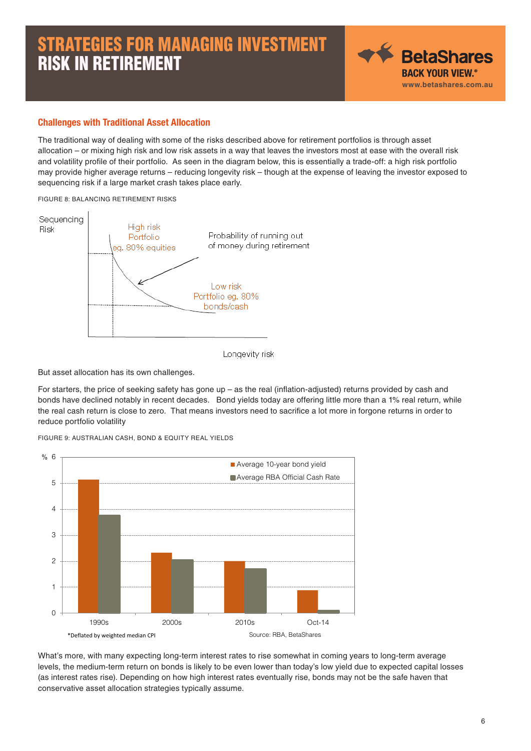

#### Challenges with Traditional Asset Allocation

The traditional way of dealing with some of the risks described above for retirement portfolios is through asset allocation – or mixing high risk and low risk assets in a way that leaves the investors most at ease with the overall risk and volatility profile of their portfolio. As seen in the diagram below, this is essentially a trade-off: a high risk portfolio may provide higher average returns – reducing longevity risk – though at the expense of leaving the investor exposed to sequencing risk if a large market crash takes place early.

#### FIGURE 8: BALANCING RETIREMENT RISKS



Longevity risk

But asset allocation has its own challenges.

For starters, the price of seeking safety has gone up – as the real (inflation-adjusted) returns provided by cash and bonds have declined notably in recent decades. Bond yields today are offering little more than a 1% real return, while the real cash return is close to zero. That means investors need to sacrifice a lot more in forgone returns in order to reduce portfolio volatility

FIGURE 9: AUSTRALIAN CASH, BOND & EQUITY REAL YIELDS



What's more, with many expecting long-term interest rates to rise somewhat in coming years to long-term average levels, the medium-term return on bonds is likely to be even lower than today's low yield due to expected capital losses (as interest rates rise). Depending on how high interest rates eventually rise, bonds may not be the safe haven that conservative asset allocation strategies typically assume.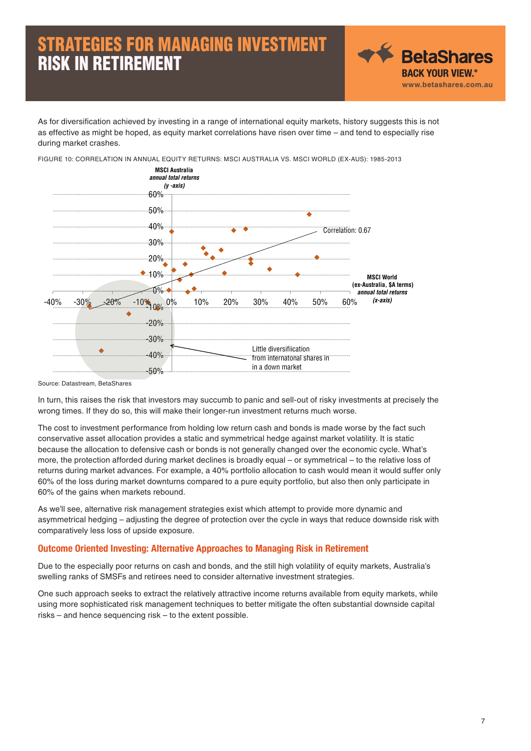

As for diversification achieved by investing in a range of international equity markets, history suggests this is not as effective as might be hoped, as equity market correlations have risen over time – and tend to especially rise during market crashes.

FIGURE 10: CORRELATION IN ANNUAL EQUITY RETURNS: MSCI AUSTRALIA VS. MSCI WORLD (EX-AUS): 1985-2013 60% **MSCI Australia**  *annual total returns (y -axis)*



Source: Datastream, BetaShares

In turn, this raises the risk that investors may succumb to panic and sell-out of risky investments at precisely the wrong times. If they do so, this will make their longer-run investment returns much worse.

The cost to investment performance from holding low return cash and bonds is made worse by the fact such conservative asset allocation provides a static and symmetrical hedge against market volatility. It is static because the allocation to defensive cash or bonds is not generally changed over the economic cycle. What's more, the protection afforded during market declines is broadly equal – or symmetrical – to the relative loss of returns during market advances. For example, a 40% portfolio allocation to cash would mean it would suffer only 60% of the loss during market downturns compared to a pure equity portfolio, but also then only participate in 60% of the gains when markets rebound.

As we'll see, alternative risk management strategies exist which attempt to provide more dynamic and asymmetrical hedging – adjusting the degree of protection over the cycle in ways that reduce downside risk with comparatively less loss of upside exposure.

#### Outcome Oriented Investing: Alternative Approaches to Managing Risk in Retirement

Due to the especially poor returns on cash and bonds, and the still high volatility of equity markets, Australia's swelling ranks of SMSFs and retirees need to consider alternative investment strategies.

One such approach seeks to extract the relatively attractive income returns available from equity markets, while using more sophisticated risk management techniques to better mitigate the often substantial downside capital risks – and hence sequencing risk – to the extent possible.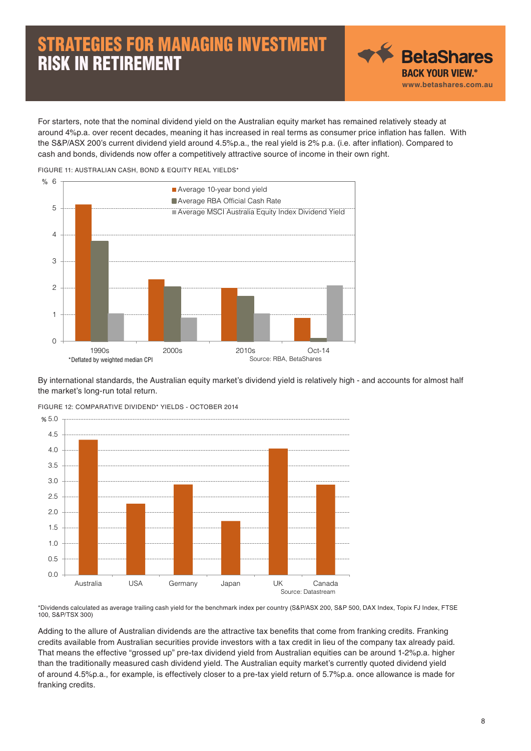◆ BetaShares **BACK YOUR VIEW.<sup>®</sup> www.betashares.com.au**

For starters, note that the nominal dividend yield on the Australian equity market has remained relatively steady at around 4%p.a. over recent decades, meaning it has increased in real terms as consumer price inflation has fallen. With the S&P/ASX 200's current dividend yield around 4.5%p.a., the real yield is 2% p.a. (i.e. after inflation). Compared to cash and bonds, dividends now offer a competitively attractive source of income in their own right.





By international standards, the Australian equity market's dividend yield is relatively high - and accounts for almost half the market's long-run total return.



FIGURE 12: COMPARATIVE DIVIDEND\* YIELDS - OCTOBER 2014

\*Dividends calculated as average trailing cash yield for the benchmark index per country (S&P/ASX 200, S&P 500, DAX Index, Topix FJ Index, FTSE 100, S&P/TSX 300)

Adding to the allure of Australian dividends are the attractive tax benefits that come from franking credits. Franking credits available from Australian securities provide investors with a tax credit in lieu of the company tax already paid. That means the effective "grossed up" pre-tax dividend yield from Australian equities can be around 1-2%p.a. higher than the traditionally measured cash dividend yield. The Australian equity market's currently quoted dividend yield of around 4.5%p.a., for example, is effectively closer to a pre-tax yield return of 5.7%p.a. once allowance is made for franking credits.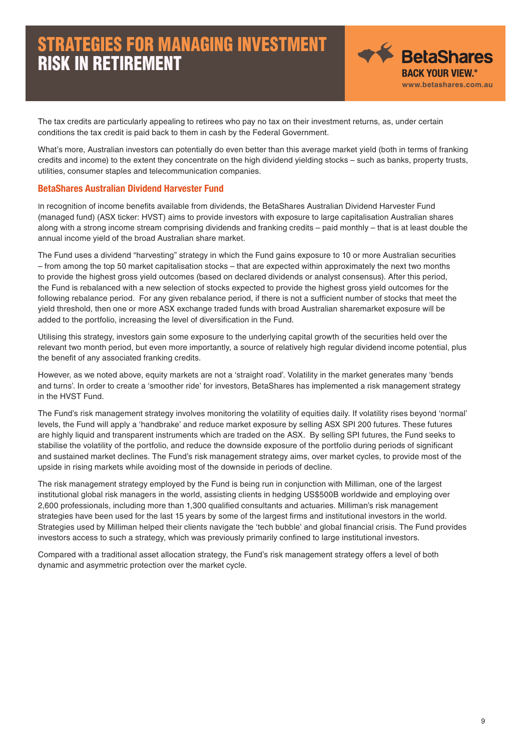

The tax credits are particularly appealing to retirees who pay no tax on their investment returns, as, under certain conditions the tax credit is paid back to them in cash by the Federal Government.

What's more, Australian investors can potentially do even better than this average market yield (both in terms of franking credits and income) to the extent they concentrate on the high dividend yielding stocks – such as banks, property trusts, utilities, consumer staples and telecommunication companies.

#### BetaShares Australian Dividend Harvester Fund

In recognition of income benefits available from dividends, the BetaShares Australian Dividend Harvester Fund (managed fund) (ASX ticker: HVST) aims to provide investors with exposure to large capitalisation Australian shares along with a strong income stream comprising dividends and franking credits – paid monthly – that is at least double the annual income yield of the broad Australian share market.

The Fund uses a dividend "harvesting" strategy in which the Fund gains exposure to 10 or more Australian securities – from among the top 50 market capitalisation stocks – that are expected within approximately the next two months to provide the highest gross yield outcomes (based on declared dividends or analyst consensus). After this period, the Fund is rebalanced with a new selection of stocks expected to provide the highest gross yield outcomes for the following rebalance period. For any given rebalance period, if there is not a sufficient number of stocks that meet the yield threshold, then one or more ASX exchange traded funds with broad Australian sharemarket exposure will be added to the portfolio, increasing the level of diversification in the Fund.

Utilising this strategy, investors gain some exposure to the underlying capital growth of the securities held over the relevant two month period, but even more importantly, a source of relatively high regular dividend income potential, plus the benefit of any associated franking credits.

However, as we noted above, equity markets are not a 'straight road'. Volatility in the market generates many 'bends and turns'. In order to create a 'smoother ride' for investors, BetaShares has implemented a risk management strategy in the HVST Fund.

The Fund's risk management strategy involves monitoring the volatility of equities daily. If volatility rises beyond 'normal' levels, the Fund will apply a 'handbrake' and reduce market exposure by selling ASX SPI 200 futures. These futures are highly liquid and transparent instruments which are traded on the ASX. By selling SPI futures, the Fund seeks to stabilise the volatility of the portfolio, and reduce the downside exposure of the portfolio during periods of significant and sustained market declines. The Fund's risk management strategy aims, over market cycles, to provide most of the upside in rising markets while avoiding most of the downside in periods of decline.

The risk management strategy employed by the Fund is being run in conjunction with Milliman, one of the largest institutional global risk managers in the world, assisting clients in hedging US\$500B worldwide and employing over 2,600 professionals, including more than 1,300 qualified consultants and actuaries. Milliman's risk management strategies have been used for the last 15 years by some of the largest firms and institutional investors in the world. Strategies used by Milliman helped their clients navigate the 'tech bubble' and global financial crisis. The Fund provides investors access to such a strategy, which was previously primarily confined to large institutional investors.

Compared with a traditional asset allocation strategy, the Fund's risk management strategy offers a level of both dynamic and asymmetric protection over the market cycle.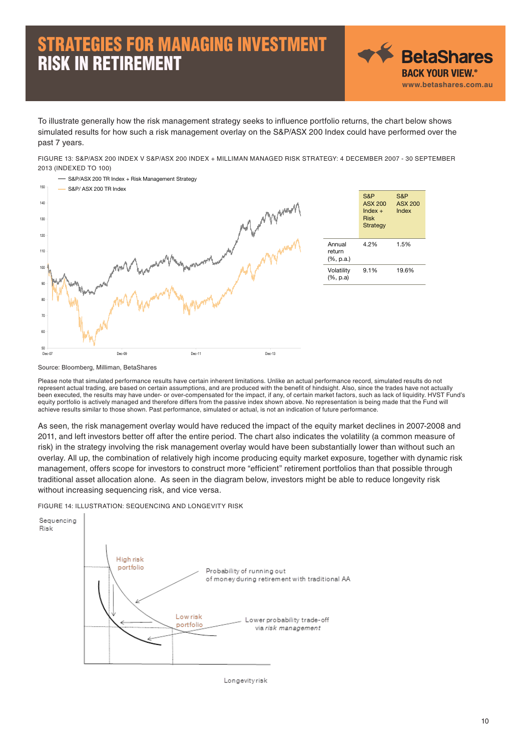◆ BetaShares **BACK YOUR VIEW.<sup>®</sup> www.betashares.com.au**

To illustrate generally how the risk management strategy seeks to influence portfolio returns, the chart below shows simulated results for how such a risk management overlay on the S&P/ASX 200 Index could have performed over the past 7 years.

FIGURE 13: S&P/ASX 200 INDEX V S&P/ASX 200 INDEX + MILLIMAN MANAGED RISK STRATEGY: 4 DECEMBER 2007 - 30 SEPTEMBER 2013 (INDEXED TO 100)



Source: Bloomberg, Milliman, BetaShares

Please note that simulated performance results have certain inherent limitations. Unlike an actual performance record, simulated results do not represent actual trading, are based on certain assumptions, and are produced with the benefit of hindsight. Also, since the trades have not actually been executed, the results may have under- or over-compensated for the impact, if any, of certain market factors, such as lack of liquidity. HVST Fund's equity portfolio is actively managed and therefore differs from the passive index shown above. No representation is being made that the Fund will achieve results similar to those shown. Past performance, simulated or actual, is not an indication of future performance.

As seen, the risk management overlay would have reduced the impact of the equity market declines in 2007-2008 and 2011, and left investors better off after the entire period. The chart also indicates the volatility (a common measure of risk) in the strategy involving the risk management overlay would have been substantially lower than without such an overlay. All up, the combination of relatively high income producing equity market exposure, together with dynamic risk management, offers scope for investors to construct more "efficient" retirement portfolios than that possible through traditional asset allocation alone. As seen in the diagram below, investors might be able to reduce longevity risk without increasing sequencing risk, and vice versa.

FIGURE 14: ILLUSTRATION: SEQUENCING AND LONGEVITY RISK



Longevityrisk